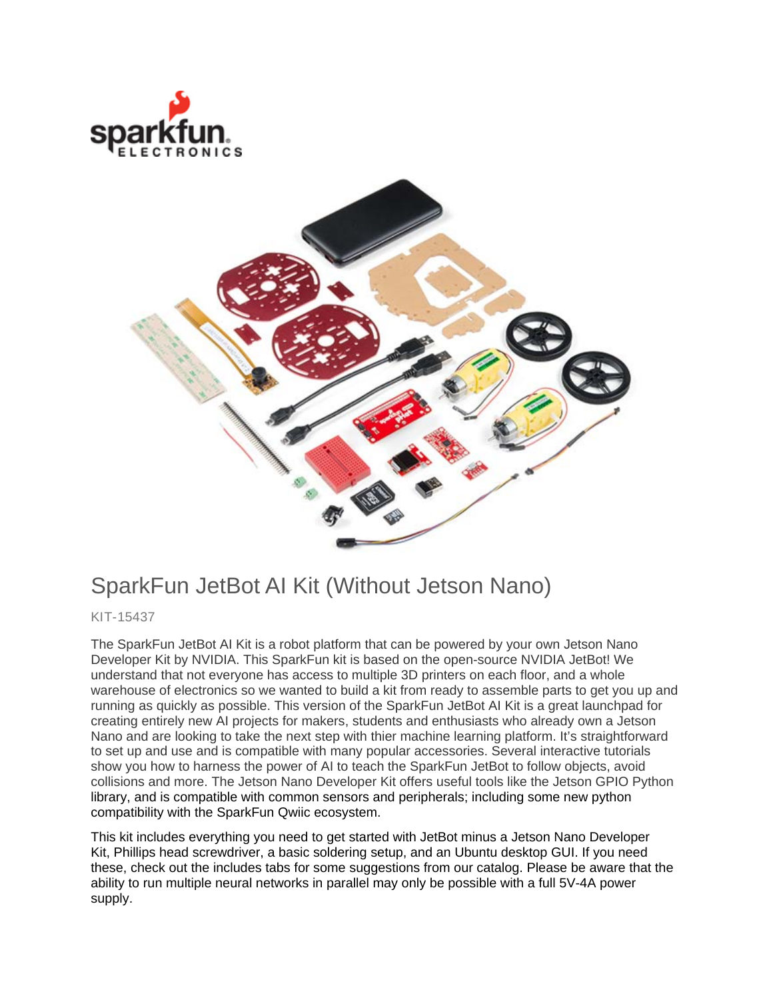



## SparkFun JetBot AI Kit (Without Jetson Nano)

KIT-15437

The SparkFun JetBot AI Kit is a robot platform that can be powered by your own Jetson Nano Developer Kit by NVIDIA. This SparkFun kit is based on the open-source NVIDIA JetBot! We understand that not everyone has access to multiple 3D printers on each floor, and a whole warehouse of electronics so we wanted to build a kit from ready to assemble parts to get you up and running as quickly as possible. This version of the SparkFun JetBot AI Kit is a great launchpad for creating entirely new AI projects for makers, students and enthusiasts who already own a Jetson Nano and are looking to take the next step with thier machine learning platform. It's straightforward to set up and use and is compatible with many popular accessories. Several interactive tutorials show you how to harness the power of AI to teach the SparkFun JetBot to follow objects, avoid collisions and more. The Jetson Nano Developer Kit offers useful tools like the Jetson GPIO Python library, and is compatible with common sensors and peripherals; including some new python compatibility with the SparkFun Qwiic ecosystem.

This kit includes everything you need to get started with JetBot minus a Jetson Nano Developer Kit, Phillips head screwdriver, a basic soldering setup, and an Ubuntu desktop GUI. If you need these, check out the includes tabs for some suggestions from our catalog. Please be aware that the ability to run multiple neural networks in parallel may only be possible with a full 5V-4A power supply.